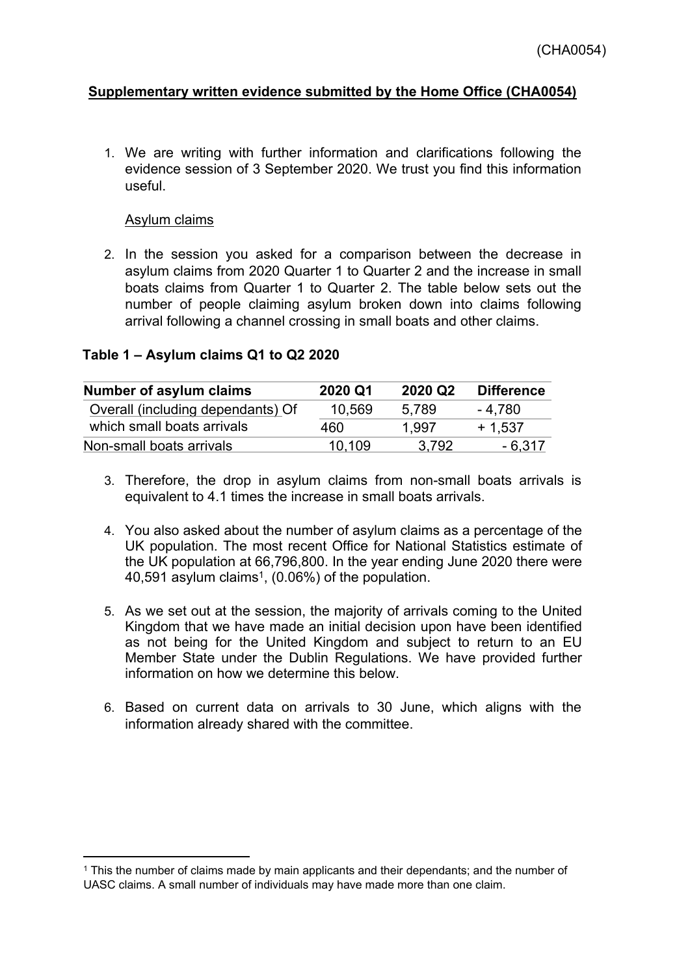## **Supplementary written evidence submitted by the Home Office (CHA0054)**

1. We are writing with further information and clarifications following the evidence session of 3 September 2020. We trust you find this information useful.

### Asylum claims

2. In the session you asked for a comparison between the decrease in asylum claims from 2020 Quarter 1 to Quarter 2 and the increase in small boats claims from Quarter 1 to Quarter 2. The table below sets out the number of people claiming asylum broken down into claims following arrival following a channel crossing in small boats and other claims.

### **Table 1 – Asylum claims Q1 to Q2 2020**

| Number of asylum claims           | 2020 Q1 | 2020 Q2 | <b>Difference</b> |
|-----------------------------------|---------|---------|-------------------|
| Overall (including dependants) Of | 10,569  | 5.789   | - 4.780           |
| which small boats arrivals        | 460     | 1.997   | $+1.537$          |
| Non-small boats arrivals          | 10.109  | 3.792   | - 6,317           |

- 3. Therefore, the drop in asylum claims from non-small boats arrivals is equivalent to 4.1 times the increase in small boats arrivals.
- 4. You also asked about the number of asylum claims as a percentage of the UK population. The most recent Office for National Statistics estimate of the UK population at 66,796,800. In the year ending June 2020 there were 40,591 asylum claims<sup>1</sup>, (0.06%) of the population.
- 5. As we set out at the session, the majority of arrivals coming to the United Kingdom that we have made an initial decision upon have been identified as not being for the United Kingdom and subject to return to an EU Member State under the Dublin Regulations. We have provided further information on how we determine this below.
- 6. Based on current data on arrivals to 30 June, which aligns with the information already shared with the committee.

<sup>1</sup> This the number of claims made by main applicants and their dependants; and the number of UASC claims. A small number of individuals may have made more than one claim.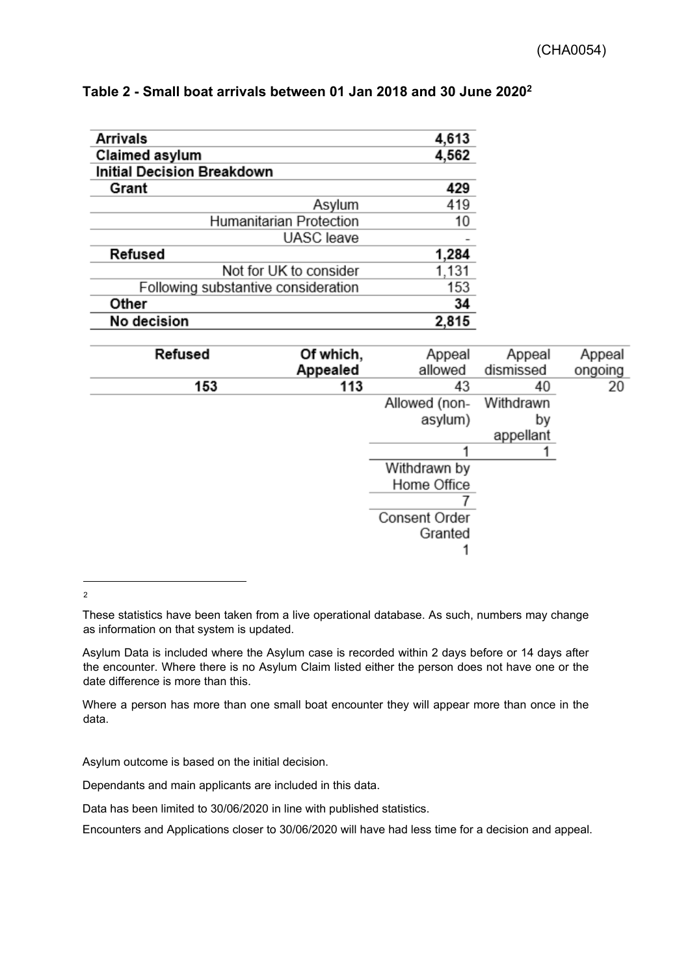| Arrivals                            | 4,613 |  |  |
|-------------------------------------|-------|--|--|
| Claimed asylum                      | 4,562 |  |  |
| <b>Initial Decision Breakdown</b>   |       |  |  |
| Grant                               | 429   |  |  |
| Asylum                              | 419   |  |  |
| Humanitarian Protection             | 10    |  |  |
| <b>UASC</b> leave                   |       |  |  |
| Refused                             | 1,284 |  |  |
| Not for UK to consider              | 1,131 |  |  |
| Following substantive consideration | 153   |  |  |
| Other                               | 34    |  |  |
| No decision                         | 2,815 |  |  |

### **Table 2 - Small boat arrivals between 01 Jan 2018 and 30 June 2020<sup>2</sup>**

| Appeal  | Appeal    | Appeal               | Of which, | Refused |
|---------|-----------|----------------------|-----------|---------|
| ongoing | dismissed | allowed              | Appealed  |         |
| 20      | 40        | 43                   | 113       | 153     |
|         | Withdrawn | Allowed (non-        |           |         |
|         | by        | asylum)              |           |         |
|         | appellant |                      |           |         |
|         |           |                      |           |         |
|         |           | Withdrawn by         |           |         |
|         |           | Home Office          |           |         |
|         |           |                      |           |         |
|         |           | <b>Consent Order</b> |           |         |
|         |           | Granted              |           |         |
|         |           |                      |           |         |
|         |           |                      |           |         |

 $\overline{a}$ 2

Asylum Data is included where the Asylum case is recorded within 2 days before or 14 days after the encounter. Where there is no Asylum Claim listed either the person does not have one or the date difference is more than this.

Where a person has more than one small boat encounter they will appear more than once in the data.

Asylum outcome is based on the initial decision.

Dependants and main applicants are included in this data.

Data has been limited to 30/06/2020 in line with published statistics.

Encounters and Applications closer to 30/06/2020 will have had less time for a decision and appeal.

These statistics have been taken from a live operational database. As such, numbers may change as information on that system is updated.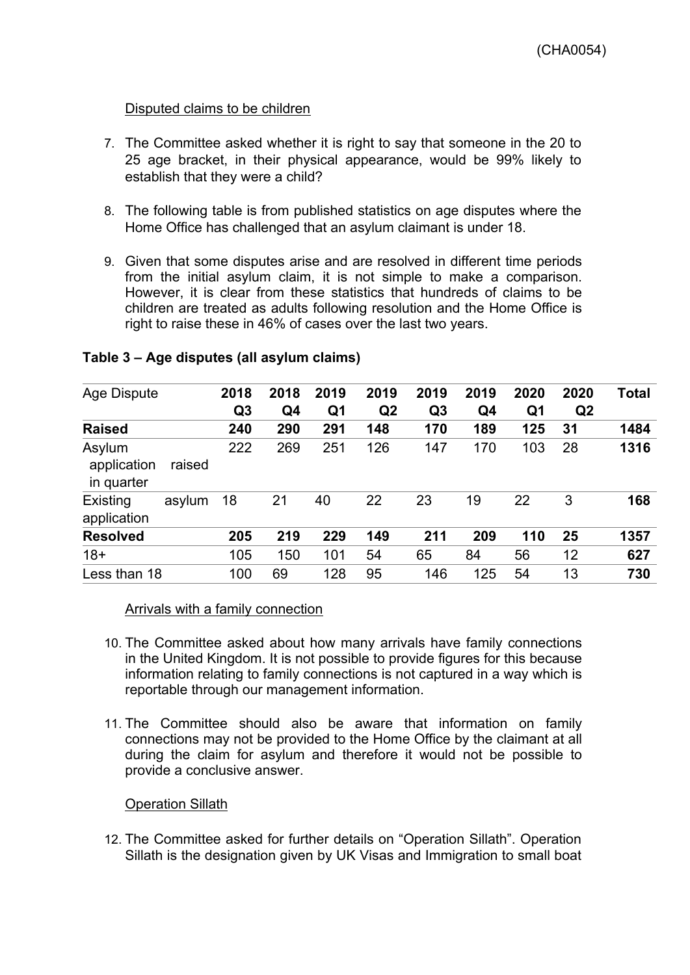## Disputed claims to be children

- 7. The Committee asked whether it is right to say that someone in the 20 to 25 age bracket, in their physical appearance, would be 99% likely to establish that they were a child?
- 8. The following table is from published statistics on age disputes where the Home Office has challenged that an asylum claimant is under 18.
- 9. Given that some disputes arise and are resolved in different time periods from the initial asylum claim, it is not simple to make a comparison. However, it is clear from these statistics that hundreds of claims to be children are treated as adults following resolution and the Home Office is right to raise these in 46% of cases over the last two years.

| <b>Age Dispute</b>                  |                | 2018           | 2018           | 2019           | 2019           | 2019           | 2019           | 2020           | 2020 | Total |
|-------------------------------------|----------------|----------------|----------------|----------------|----------------|----------------|----------------|----------------|------|-------|
|                                     | Q <sub>3</sub> | Q <sub>4</sub> | Q <sub>1</sub> | Q <sub>2</sub> | Q <sub>3</sub> | Q <sub>4</sub> | Q <sub>1</sub> | Q <sub>2</sub> |      |       |
| <b>Raised</b>                       |                | 240            | 290            | 291            | 148            | 170            | 189            | 125            | 31   | 1484  |
| Asylum<br>application<br>in quarter | raised         | 222            | 269            | 251            | 126            | 147            | 170            | 103            | 28   | 1316  |
| Existing<br>application             | asylum         | 18             | 21             | 40             | 22             | 23             | 19             | 22             | 3    | 168   |
| <b>Resolved</b>                     |                | 205            | 219            | 229            | 149            | 211            | 209            | 110            | 25   | 1357  |
| $18+$                               |                | 105            | 150            | 101            | 54             | 65             | 84             | 56             | 12   | 627   |
| Less than 18                        |                | 100            | 69             | 128            | 95             | 146            | 125            | 54             | 13   | 730   |

### **Table 3 – Age disputes (all asylum claims)**

#### Arrivals with a family connection

- 10. The Committee asked about how many arrivals have family connections in the United Kingdom. It is not possible to provide figures for this because information relating to family connections is not captured in a way which is reportable through our management information.
- 11. The Committee should also be aware that information on family connections may not be provided to the Home Office by the claimant at all during the claim for asylum and therefore it would not be possible to provide a conclusive answer.

## Operation Sillath

12. The Committee asked for further details on "Operation Sillath". Operation Sillath is the designation given by UK Visas and Immigration to small boat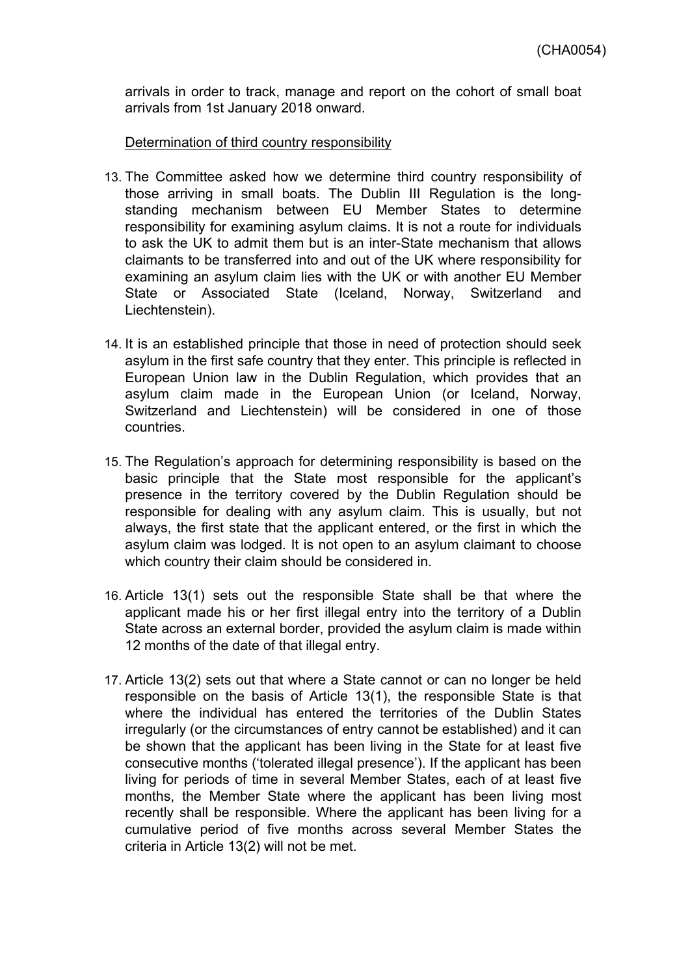arrivals in order to track, manage and report on the cohort of small boat arrivals from 1st January 2018 onward.

### Determination of third country responsibility

- 13. The Committee asked how we determine third country responsibility of those arriving in small boats. The Dublin III Regulation is the longstanding mechanism between EU Member States to determine responsibility for examining asylum claims. It is not a route for individuals to ask the UK to admit them but is an inter-State mechanism that allows claimants to be transferred into and out of the UK where responsibility for examining an asylum claim lies with the UK or with another EU Member State or Associated State (Iceland, Norway, Switzerland and Liechtenstein).
- 14. It is an established principle that those in need of protection should seek asylum in the first safe country that they enter. This principle is reflected in European Union law in the Dublin Regulation, which provides that an asylum claim made in the European Union (or Iceland, Norway, Switzerland and Liechtenstein) will be considered in one of those countries.
- 15. The Regulation's approach for determining responsibility is based on the basic principle that the State most responsible for the applicant's presence in the territory covered by the Dublin Regulation should be responsible for dealing with any asylum claim. This is usually, but not always, the first state that the applicant entered, or the first in which the asylum claim was lodged. It is not open to an asylum claimant to choose which country their claim should be considered in.
- 16. Article 13(1) sets out the responsible State shall be that where the applicant made his or her first illegal entry into the territory of a Dublin State across an external border, provided the asylum claim is made within 12 months of the date of that illegal entry.
- 17. Article 13(2) sets out that where a State cannot or can no longer be held responsible on the basis of Article 13(1), the responsible State is that where the individual has entered the territories of the Dublin States irregularly (or the circumstances of entry cannot be established) and it can be shown that the applicant has been living in the State for at least five consecutive months ('tolerated illegal presence'). If the applicant has been living for periods of time in several Member States, each of at least five months, the Member State where the applicant has been living most recently shall be responsible. Where the applicant has been living for a cumulative period of five months across several Member States the criteria in Article 13(2) will not be met.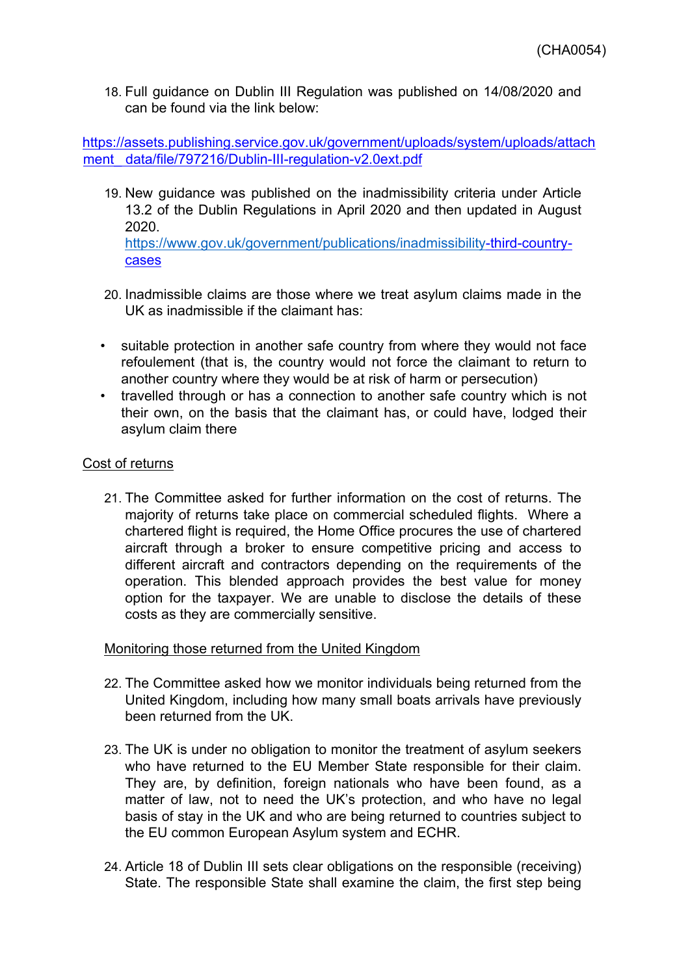18. Full guidance on Dublin III Regulation was published on 14/08/2020 and can be found via the link below:

[https://assets.publishing.service.gov.uk/government/uploads/system/uploads/attach](https://eur01.safelinks.protection.outlook.com/?url=https%3A%2F%2Fassets.publishing.service.gov.uk%2Fgovernment%2Fuploads%2Fsystem%2Fuploads%2Fattachment_data%2Ffile%2F797216%2FDublin-III-regulation-v2.0ext.pdf&data=02%7C01%7C%7C566c9d6f6b424b82dee108d85a21cf26%7Cf24d93ecb2914192a08af182245945c2%7C0%7C0%7C637358448534597285&sdata=X5sd92CwEb%2F9cStCI0gkz33dkyiw5F40PUhOPZQRRI4%3D&reserved=0) [ment\\_](https://eur01.safelinks.protection.outlook.com/?url=https%3A%2F%2Fassets.publishing.service.gov.uk%2Fgovernment%2Fuploads%2Fsystem%2Fuploads%2Fattachment_data%2Ffile%2F797216%2FDublin-III-regulation-v2.0ext.pdf&data=02%7C01%7C%7C566c9d6f6b424b82dee108d85a21cf26%7Cf24d93ecb2914192a08af182245945c2%7C0%7C0%7C637358448534597285&sdata=X5sd92CwEb%2F9cStCI0gkz33dkyiw5F40PUhOPZQRRI4%3D&reserved=0)[data/file/797216/Dublin-III-regulation-v2.0ext.pdf](https://eur01.safelinks.protection.outlook.com/?url=https%3A%2F%2Fassets.publishing.service.gov.uk%2Fgovernment%2Fuploads%2Fsystem%2Fuploads%2Fattachment_data%2Ffile%2F797216%2FDublin-III-regulation-v2.0ext.pdf&data=02%7C01%7C%7C566c9d6f6b424b82dee108d85a21cf26%7Cf24d93ecb2914192a08af182245945c2%7C0%7C0%7C637358448534597285&sdata=X5sd92CwEb%2F9cStCI0gkz33dkyiw5F40PUhOPZQRRI4%3D&reserved=0)

- 19. New guidance was published on the inadmissibility criteria under Article 13.2 of the Dublin Regulations in April 2020 and then updated in August 2020. <https://www.gov.uk/government/publications/inadmissibility>[-third-country](https://eur01.safelinks.protection.outlook.com/?url=https%3A%2F%2Fwww.gov.uk%2Fgovernment%2Fpublications%2Finadmissibility-third-country-cases&data=02%7C01%7C%7C566c9d6f6b424b82dee108d85a21cf26%7Cf24d93ecb2914192a08af182245945c2%7C0%7C0%7C637358448534597285&sdata=IdCyMGBNy%2FT6jucDJrdimWpaG7rCNkfSaIysZP7J%2FEY%3D&reserved=0)[cases](https://eur01.safelinks.protection.outlook.com/?url=https%3A%2F%2Fwww.gov.uk%2Fgovernment%2Fpublications%2Finadmissibility-third-country-cases&data=02%7C01%7C%7C566c9d6f6b424b82dee108d85a21cf26%7Cf24d93ecb2914192a08af182245945c2%7C0%7C0%7C637358448534597285&sdata=IdCyMGBNy%2FT6jucDJrdimWpaG7rCNkfSaIysZP7J%2FEY%3D&reserved=0)
- 20. Inadmissible claims are those where we treat asylum claims made in the UK as inadmissible if the claimant has:
- suitable protection in another safe country from where they would not face refoulement (that is, the country would not force the claimant to return to another country where they would be at risk of harm or persecution)
- travelled through or has a connection to another safe country which is not their own, on the basis that the claimant has, or could have, lodged their asylum claim there

# Cost of returns

21. The Committee asked for further information on the cost of returns. The majority of returns take place on commercial scheduled flights. Where a chartered flight is required, the Home Office procures the use of chartered aircraft through a broker to ensure competitive pricing and access to different aircraft and contractors depending on the requirements of the operation. This blended approach provides the best value for money option for the taxpayer. We are unable to disclose the details of these costs as they are commercially sensitive.

## Monitoring those returned from the United Kingdom

- 22. The Committee asked how we monitor individuals being returned from the United Kingdom, including how many small boats arrivals have previously been returned from the UK.
- 23. The UK is under no obligation to monitor the treatment of asylum seekers who have returned to the EU Member State responsible for their claim. They are, by definition, foreign nationals who have been found, as a matter of law, not to need the UK's protection, and who have no legal basis of stay in the UK and who are being returned to countries subject to the EU common European Asylum system and ECHR.
- 24. Article 18 of Dublin III sets clear obligations on the responsible (receiving) State. The responsible State shall examine the claim, the first step being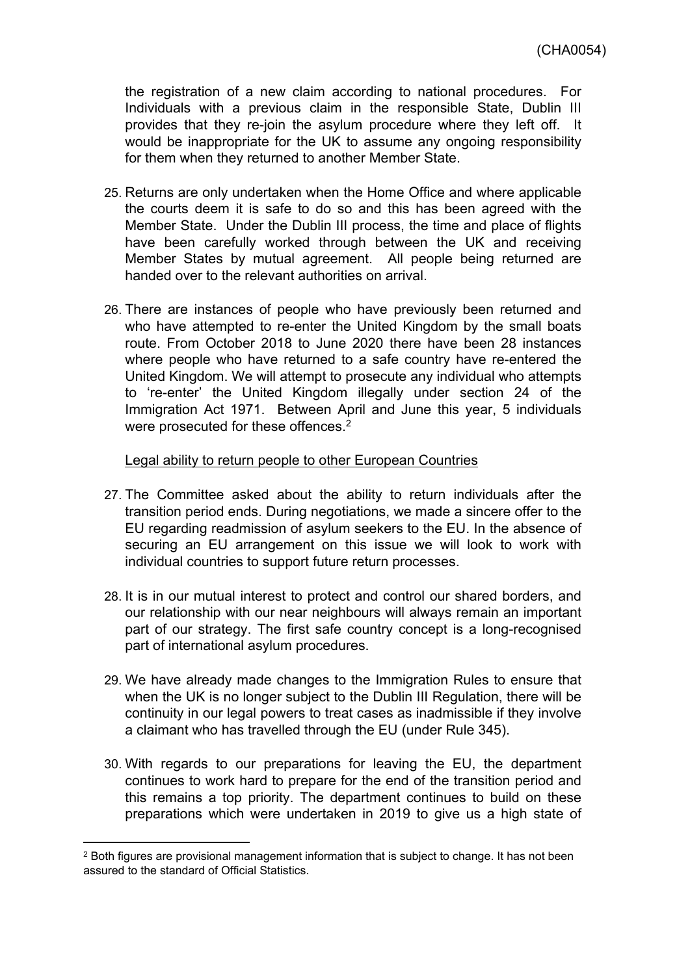the registration of a new claim according to national procedures. For Individuals with a previous claim in the responsible State, Dublin III provides that they re-join the asylum procedure where they left off. It would be inappropriate for the UK to assume any ongoing responsibility for them when they returned to another Member State.

- 25. Returns are only undertaken when the Home Office and where applicable the courts deem it is safe to do so and this has been agreed with the Member State. Under the Dublin III process, the time and place of flights have been carefully worked through between the UK and receiving Member States by mutual agreement. All people being returned are handed over to the relevant authorities on arrival.
- 26. There are instances of people who have previously been returned and who have attempted to re-enter the United Kingdom by the small boats route. From October 2018 to June 2020 there have been 28 instances where people who have returned to a safe country have re-entered the United Kingdom. We will attempt to prosecute any individual who attempts to 're-enter' the United Kingdom illegally under section 24 of the Immigration Act 1971. Between April and June this year, 5 individuals were prosecuted for these offences.<sup>2</sup>

#### Legal ability to return people to other European Countries

- 27. The Committee asked about the ability to return individuals after the transition period ends. During negotiations, we made a sincere offer to the EU regarding readmission of asylum seekers to the EU. In the absence of securing an EU arrangement on this issue we will look to work with individual countries to support future return processes.
- 28. It is in our mutual interest to protect and control our shared borders, and our relationship with our near neighbours will always remain an important part of our strategy. The first safe country concept is a long-recognised part of international asylum procedures.
- 29. We have already made changes to the Immigration Rules to ensure that when the UK is no longer subject to the Dublin III Regulation, there will be continuity in our legal powers to treat cases as inadmissible if they involve a claimant who has travelled through the EU (under Rule 345).
- 30. With regards to our preparations for leaving the EU, the department continues to work hard to prepare for the end of the transition period and this remains a top priority. The department continues to build on these preparations which were undertaken in 2019 to give us a high state of

<sup>&</sup>lt;sup>2</sup> Both figures are provisional management information that is subject to change. It has not been assured to the standard of Official Statistics.